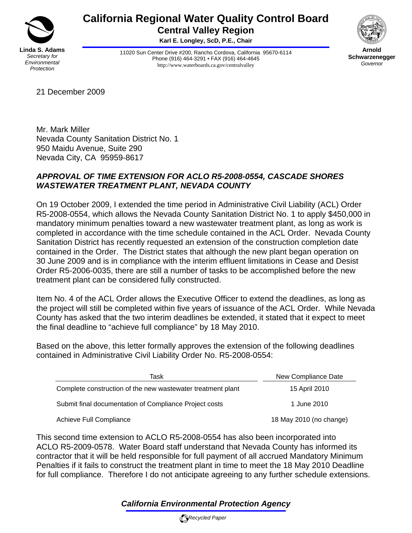

## **California Regional Water Quality Control Board Central Valley Region**

**Karl E. Longley, ScD, P.E., Chair** 

11020 Sun Center Drive #200, Rancho Cordova, California 95670-6114 Phone (916) 464-3291 • FAX (916) 464-4645 http://www.waterboards.ca.gov/centralvalley



**Arnold Schwarzenegger** *Governor* 

21 December 2009

Mr. Mark Miller Nevada County Sanitation District No. 1 950 Maidu Avenue, Suite 290 Nevada City, CA 95959-8617

## *APPROVAL OF TIME EXTENSION FOR ACLO R5-2008-0554, CASCADE SHORES WASTEWATER TREATMENT PLANT, NEVADA COUNTY*

On 19 October 2009, I extended the time period in Administrative Civil Liability (ACL) Order R5-2008-0554, which allows the Nevada County Sanitation District No. 1 to apply \$450,000 in mandatory minimum penalties toward a new wastewater treatment plant, as long as work is completed in accordance with the time schedule contained in the ACL Order. Nevada County Sanitation District has recently requested an extension of the construction completion date contained in the Order. The District states that although the new plant began operation on 30 June 2009 and is in compliance with the interim effluent limitations in Cease and Desist Order R5-2006-0035, there are still a number of tasks to be accomplished before the new treatment plant can be considered fully constructed.

Item No. 4 of the ACL Order allows the Executive Officer to extend the deadlines, as long as the project will still be completed within five years of issuance of the ACL Order. While Nevada County has asked that the two interim deadlines be extended, it stated that it expect to meet the final deadline to "achieve full compliance" by 18 May 2010.

Based on the above, this letter formally approves the extension of the following deadlines contained in Administrative Civil Liability Order No. R5-2008-0554:

| Task                                                        | New Compliance Date     |
|-------------------------------------------------------------|-------------------------|
| Complete construction of the new wastewater treatment plant | 15 April 2010           |
| Submit final documentation of Compliance Project costs      | 1 June 2010             |
| Achieve Full Compliance                                     | 18 May 2010 (no change) |

This second time extension to ACLO R5-2008-0554 has also been incorporated into ACLO R5-2009-0578. Water Board staff understand that Nevada County has informed its contractor that it will be held responsible for full payment of all accrued Mandatory Minimum Penalties if it fails to construct the treatment plant in time to meet the 18 May 2010 Deadline for full compliance. Therefore I do not anticipate agreeing to any further schedule extensions.

## *California Environmental Protection Agency*